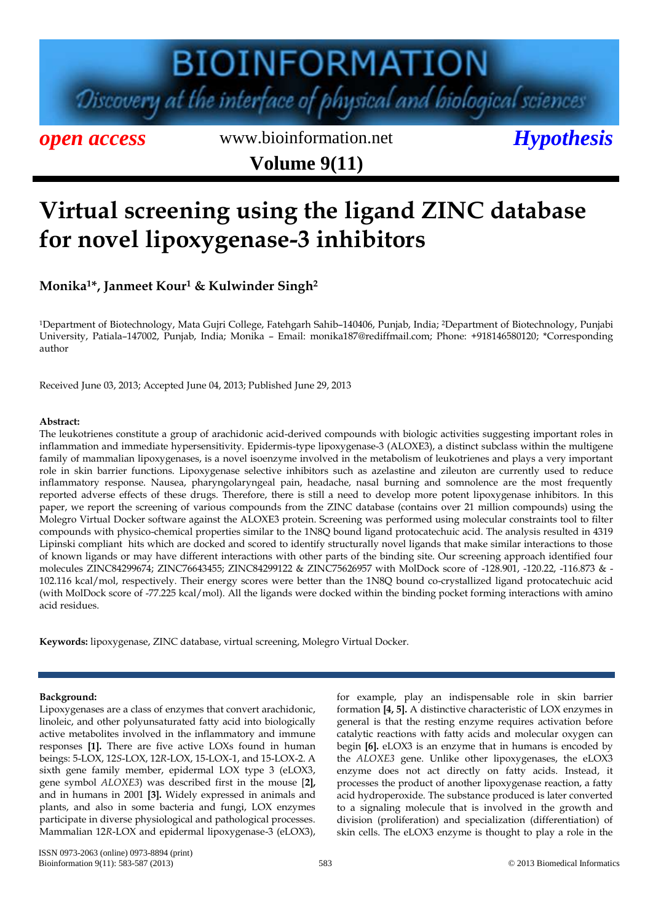# **BIOINFORMATION** Discovery at the interface of physical and biological sciences

*open access* www.bioinformation.net *Hypothesis* **Volume 9(11)**

### **Virtual screening using the ligand ZINC database for novel lipoxygenase-3 inhibitors**

**Monika1\*, Janmeet Kour<sup>1</sup> & Kulwinder Singh<sup>2</sup>**

<sup>1</sup>Department of Biotechnology, Mata Gujri College, Fatehgarh Sahib–140406, Punjab, India; 2Department of Biotechnology, Punjabi University, Patiala–147002, Punjab, India; Monika – Email: monika187@rediffmail.com; Phone: +918146580120; \*Corresponding author

Received June 03, 2013; Accepted June 04, 2013; Published June 29, 2013

#### **Abstract:**

The leukotrienes constitute a group of arachidonic acid-derived compounds with biologic activities suggesting important roles in inflammation and immediate hypersensitivity. Epidermis-type lipoxygenase-3 (ALOXE3), a distinct subclass within the multigene family of mammalian lipoxygenases, is a novel isoenzyme involved in the metabolism of leukotrienes and plays a very important role in skin barrier functions. Lipoxygenase selective inhibitors such as azelastine and zileuton are currently used to reduce inflammatory response. Nausea, pharyngolaryngeal pain, headache, nasal burning and somnolence are the most frequently reported adverse effects of these drugs. Therefore, there is still a need to develop more potent lipoxygenase inhibitors. In this paper, we report the screening of various compounds from the ZINC database (contains over 21 million compounds) using the Molegro Virtual Docker software against the ALOXE3 protein. Screening was performed using molecular constraints tool to filter compounds with physico-chemical properties similar to the 1N8Q bound ligand protocatechuic acid. The analysis resulted in 4319 Lipinski compliant hits which are docked and scored to identify structurally novel ligands that make similar interactions to those of known ligands or may have different interactions with other parts of the binding site. Our screening approach identified four molecules ZINC84299674; ZINC76643455; ZINC84299122 & ZINC75626957 with MolDock score of -128.901, -120.22, -116.873 & - 102.116 kcal/mol, respectively. Their energy scores were better than the 1N8Q bound co-crystallized ligand protocatechuic acid (with MolDock score of -77.225 kcal/mol). All the ligands were docked within the binding pocket forming interactions with amino acid residues.

**Keywords:** lipoxygenase, ZINC database, virtual screening, Molegro Virtual Docker.

#### **Background:**

Lipoxygenases are a class of enzymes that convert arachidonic, linoleic, and other polyunsaturated fatty acid into biologically active metabolites involved in the inflammatory and immune responses **[1].** There are five active LOXs found in human beings: 5-LOX, 12*S*-LOX, 12*R*-LOX, 15-LOX-1, and 15-LOX-2. A sixth gene family member, epidermal LOX type 3 (eLOX3, gene symbol *ALOXE3*) was described first in the mouse [**2],** and in humans in 2001 **[3].** Widely expressed in animals and plants, and also in some bacteria and fungi, LOX enzymes participate in diverse physiological and pathological processes. Mammalian 12*R*-LOX and epidermal lipoxygenase-3 (eLOX3), for example, play an indispensable role in skin barrier formation **[4, 5].** A distinctive characteristic of LOX enzymes in general is that the resting enzyme requires activation before catalytic reactions with fatty acids and molecular oxygen can begin **[6].** eLOX3 is an enzyme that in humans is encoded by the *ALOXE3* gene. Unlike other lipoxygenases, the eLOX3 enzyme does not act directly on fatty acids. Instead, it processes the product of another lipoxygenase reaction, a fatty acid hydroperoxide. The substance produced is later converted to a signaling molecule that is involved in the growth and division (proliferation) and specialization (differentiation) of skin cells. The eLOX3 enzyme is thought to play a role in the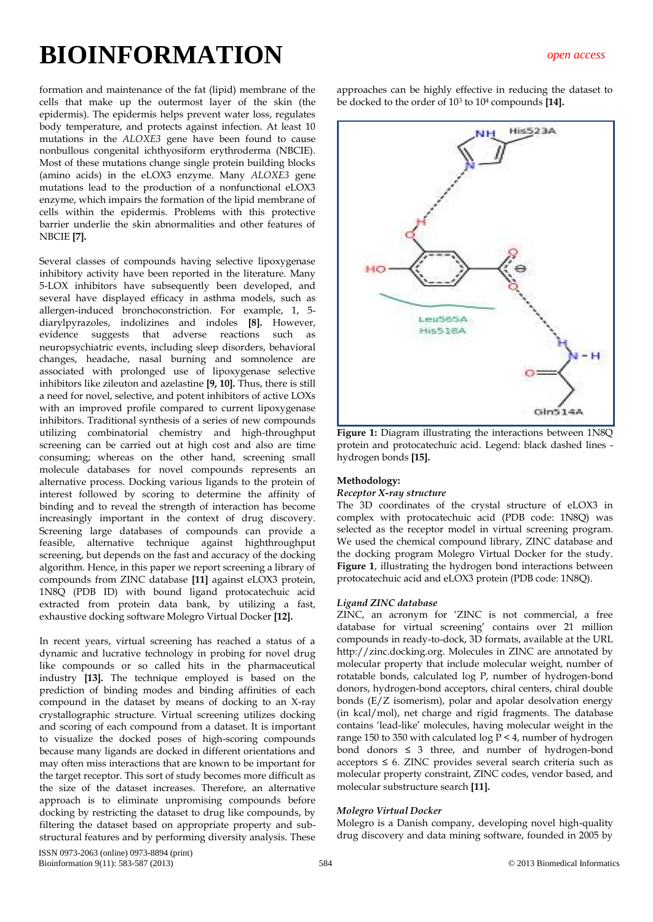formation and maintenance of the fat (lipid) membrane of the cells that make up the outermost layer of the skin (the epidermis). The epidermis helps prevent water loss, regulates body temperature, and protects against infection. At least 10 mutations in the *ALOXE3* gene have been found to cause nonbullous congenital ichthyosiform erythroderma (NBCIE). Most of these mutations change single protein building blocks (amino acids) in the eLOX3 enzyme. Many *ALOXE3* gene mutations lead to the production of a nonfunctional eLOX3 enzyme, which impairs the formation of the lipid membrane of cells within the epidermis. Problems with this protective barrier underlie the skin abnormalities and other features of NBCIE **[7].**

Several classes of compounds having selective lipoxygenase inhibitory activity have been reported in the literature. Many 5-LOX inhibitors have subsequently been developed, and several have displayed efficacy in asthma models, such as allergen-induced bronchoconstriction. For example, 1, 5 diarylpyrazoles, indolizines and indoles **[8].** However, evidence suggests that adverse reactions such as neuropsychiatric events, including sleep disorders, behavioral changes, headache, nasal burning and somnolence are associated with prolonged use of lipoxygenase selective inhibitors like zileuton and azelastine **[9, 10].** Thus, there is still a need for novel, selective, and potent inhibitors of active LOXs with an improved profile compared to current lipoxygenase inhibitors. Traditional synthesis of a series of new compounds utilizing combinatorial chemistry and high-throughput screening can be carried out at high cost and also are time consuming; whereas on the other hand, screening small molecule databases for novel compounds represents an alternative process. Docking various ligands to the protein of interest followed by scoring to determine the affinity of binding and to reveal the strength of interaction has become increasingly important in the context of drug discovery. Screening large databases of compounds can provide a feasible, alternative technique against highthroughput screening, but depends on the fast and accuracy of the docking algorithm. Hence, in this paper we report screening a library of compounds from ZINC database **[11]** against eLOX3 protein, 1N8Q (PDB ID) with bound ligand protocatechuic acid extracted from protein data bank, by utilizing a fast, exhaustive docking software Molegro Virtual Docker **[12].**

In recent years, virtual screening has reached a status of a dynamic and lucrative technology in probing for novel drug like compounds or so called hits in the pharmaceutical industry **[13].** The technique employed is based on the prediction of binding modes and binding affinities of each compound in the dataset by means of docking to an X-ray crystallographic structure. Virtual screening utilizes docking and scoring of each compound from a dataset. It is important to visualize the docked poses of high-scoring compounds because many ligands are docked in different orientations and may often miss interactions that are known to be important for the target receptor. This sort of study becomes more difficult as the size of the dataset increases. Therefore, an alternative approach is to eliminate unpromising compounds before docking by restricting the dataset to drug like compounds, by filtering the dataset based on appropriate property and substructural features and by performing diversity analysis. These approaches can be highly effective in reducing the dataset to be docked to the order of 10<sup>3</sup> to 10<sup>4</sup> compounds **[14].**



**Figure 1:** Diagram illustrating the interactions between 1N8Q protein and protocatechuic acid. Legend: black dashed lines hydrogen bonds **[15].**

#### **Methodology:**

#### *Receptor X-ray structure*

The 3D coordinates of the crystal structure of eLOX3 in complex with protocatechuic acid (PDB code: 1N8Q) was selected as the receptor model in virtual screening program. We used the chemical compound library, ZINC database and the docking program Molegro Virtual Docker for the study. **Figure 1**, illustrating the hydrogen bond interactions between protocatechuic acid and eLOX3 protein (PDB code: 1N8Q).

#### *Ligand ZINC database*

ZINC, an acronym for 'ZINC is not commercial, a free database for virtual screening' contains over 21 million compounds in ready-to-dock, 3D formats, available at the URL http://zinc.docking.org. Molecules in ZINC are annotated by molecular property that include molecular weight, number of rotatable bonds, calculated log P, number of hydrogen-bond donors, hydrogen-bond acceptors, chiral centers, chiral double bonds (E/Z isomerism), polar and apolar desolvation energy (in kcal/mol), net charge and rigid fragments. The database contains 'lead-like' molecules, having molecular weight in the range 150 to 350 with calculated log  $\overline{P}$  < 4, number of hydrogen bond donors  $\leq$  3 three, and number of hydrogen-bond  $acceptors \leq 6$ . ZINC provides several search criteria such as molecular property constraint, ZINC codes, vendor based, and molecular substructure search **[11].**

#### *Molegro Virtual Docker*

Molegro is a Danish company, developing novel high-quality drug discovery and data mining software, founded in 2005 by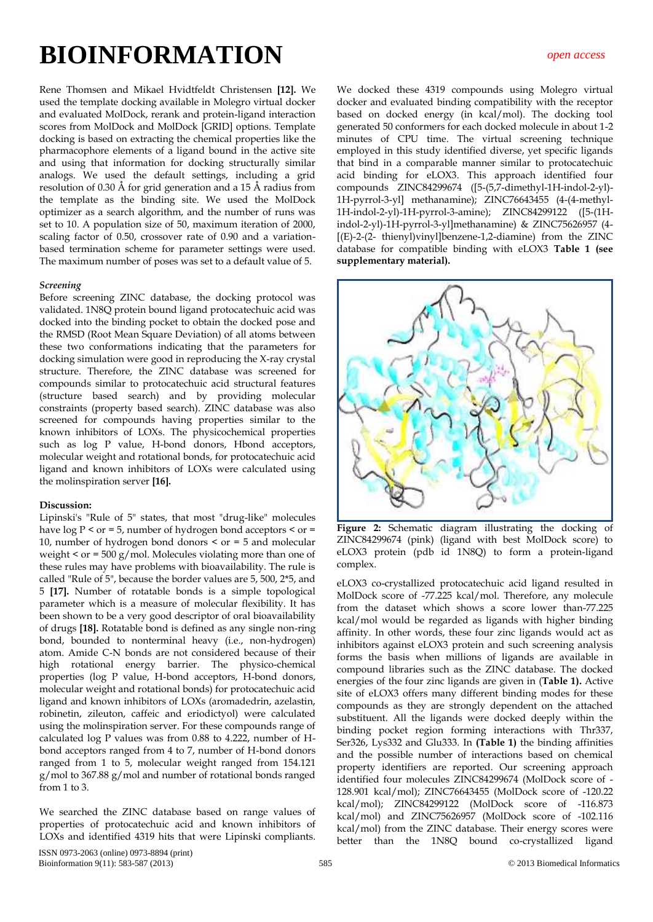Rene Thomsen and Mikael Hvidtfeldt Christensen **[12].** We used the template docking available in Molegro virtual docker and evaluated MolDock, rerank and protein-ligand interaction scores from MolDock and MolDock [GRID] options. Template docking is based on extracting the chemical properties like the pharmacophore elements of a ligand bound in the active site and using that information for docking structurally similar analogs. We used the default settings, including a grid resolution of 0.30 Å for grid generation and a 15 Å radius from the template as the binding site. We used the MolDock optimizer as a search algorithm, and the number of runs was set to 10. A population size of 50, maximum iteration of 2000, scaling factor of 0.50, crossover rate of 0.90 and a variationbased termination scheme for parameter settings were used. The maximum number of poses was set to a default value of 5.

#### *Screening*

Before screening ZINC database, the docking protocol was validated. 1N8Q protein bound ligand protocatechuic acid was docked into the binding pocket to obtain the docked pose and the RMSD (Root Mean Square Deviation) of all atoms between these two conformations indicating that the parameters for docking simulation were good in reproducing the X-ray crystal structure. Therefore, the ZINC database was screened for compounds similar to protocatechuic acid structural features (structure based search) and by providing molecular constraints (property based search). ZINC database was also screened for compounds having properties similar to the known inhibitors of LOXs. The physicochemical properties such as log P value, H-bond donors, Hbond acceptors, molecular weight and rotational bonds, for protocatechuic acid ligand and known inhibitors of LOXs were calculated using the molinspiration server **[16].**

#### **Discussion:**

Lipinski's "Rule of 5" states, that most "drug-like" molecules have  $\log P$  < or = 5, number of hydrogen bond acceptors < or = 10, number of hydrogen bond donors < or = 5 and molecular weight < or = 500 g/mol. Molecules violating more than one of these rules may have problems with bioavailability. The rule is called "Rule of 5", because the border values are 5, 500, 2\*5, and 5 **[17].** Number of rotatable bonds is a simple topological parameter which is a measure of molecular flexibility. It has been shown to be a very good descriptor of oral bioavailability of drugs **[18].** Rotatable bond is defined as any single non-ring bond, bounded to nonterminal heavy (i.e., non-hydrogen) atom. Amide C-N bonds are not considered because of their high rotational energy barrier. The physico-chemical properties (log P value, H-bond acceptors, H-bond donors, molecular weight and rotational bonds) for protocatechuic acid ligand and known inhibitors of LOXs (aromadedrin, azelastin, robinetin, zileuton, caffeic and eriodictyol) were calculated using the molinspiration server. For these compounds range of calculated log P values was from 0.88 to 4.222, number of Hbond acceptors ranged from 4 to 7, number of H-bond donors ranged from 1 to 5, molecular weight ranged from 154.121 g/mol to 367.88 g/mol and number of rotational bonds ranged from 1 to 3.

We searched the ZINC database based on range values of properties of protocatechuic acid and known inhibitors of LOXs and identified 4319 hits that were Lipinski compliants.

We docked these 4319 compounds using Molegro virtual docker and evaluated binding compatibility with the receptor based on docked energy (in kcal/mol). The docking tool generated 50 conformers for each docked molecule in about 1-2 minutes of CPU time. The virtual screening technique employed in this study identified diverse, yet specific ligands that bind in a comparable manner similar to protocatechuic acid binding for eLOX3. This approach identified four compounds ZINC84299674 ([5-(5,7-dimethyl-1H-indol-2-yl)- 1H-pyrrol-3-yl] methanamine); ZINC76643455 (4-(4-methyl-1H-indol-2-yl)-1H-pyrrol-3-amine); ZINC84299122 ([5-(1Hindol-2-yl)-1H-pyrrol-3-yl]methanamine) & ZINC75626957 (4- [(E)-2-(2- thienyl)vinyl]benzene-1,2-diamine) from the ZINC database for compatible binding with eLOX3 **Table 1 (see supplementary material).** 



**Figure 2:** Schematic diagram illustrating the docking of ZINC84299674 (pink) (ligand with best MolDock score) to eLOX3 protein (pdb id 1N8Q) to form a protein-ligand complex.

eLOX3 co-crystallized protocatechuic acid ligand resulted in MolDock score of -77.225 kcal/mol. Therefore, any molecule from the dataset which shows a score lower than-77.225 kcal/mol would be regarded as ligands with higher binding affinity. In other words, these four zinc ligands would act as inhibitors against eLOX3 protein and such screening analysis forms the basis when millions of ligands are available in compound libraries such as the ZINC database. The docked energies of the four zinc ligands are given in (**Table 1).** Active site of eLOX3 offers many different binding modes for these compounds as they are strongly dependent on the attached substituent. All the ligands were docked deeply within the binding pocket region forming interactions with Thr337, Ser326, Lys332 and Glu333. In **(Table 1)** the binding affinities and the possible number of interactions based on chemical property identifiers are reported. Our screening approach identified four molecules ZINC84299674 (MolDock score of - 128.901 kcal/mol); ZINC76643455 (MolDock score of -120.22 kcal/mol); ZINC84299122 (MolDock score of -116.873 kcal/mol) and ZINC75626957 (MolDock score of -102.116 kcal/mol) from the ZINC database. Their energy scores were better than the 1N8Q bound co-crystallized ligand

ISSN 0973-2063 (online) 0973-8894 (print) Bioinformation 9(11): 583-587 (2013) 585 © 2013 Biomedical Informatics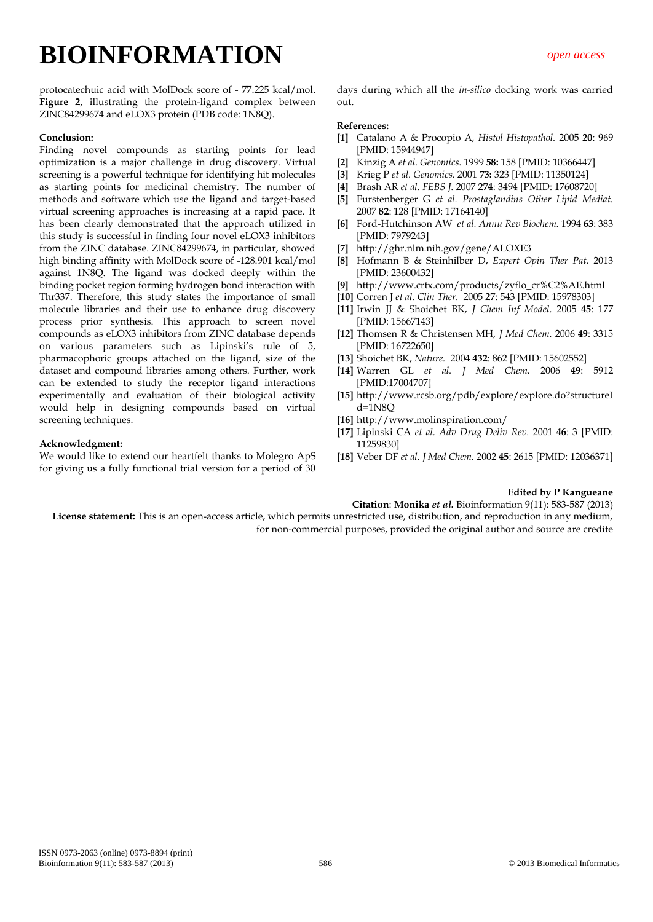protocatechuic acid with MolDock score of - 77.225 kcal/mol. **Figure 2**, illustrating the protein-ligand complex between ZINC84299674 and eLOX3 protein (PDB code: 1N8Q).

#### **Conclusion:**

Finding novel compounds as starting points for lead optimization is a major challenge in drug discovery. Virtual screening is a powerful technique for identifying hit molecules as starting points for medicinal chemistry. The number of methods and software which use the ligand and target-based virtual screening approaches is increasing at a rapid pace. It has been clearly demonstrated that the approach utilized in this study is successful in finding four novel eLOX3 inhibitors from the ZINC database. ZINC84299674, in particular, showed high binding affinity with MolDock score of -128.901 kcal/mol against 1N8Q. The ligand was docked deeply within the binding pocket region forming hydrogen bond interaction with Thr337. Therefore, this study states the importance of small molecule libraries and their use to enhance drug discovery process prior synthesis. This approach to screen novel compounds as eLOX3 inhibitors from ZINC database depends on various parameters such as Lipinski's rule of 5, pharmacophoric groups attached on the ligand, size of the dataset and compound libraries among others. Further, work can be extended to study the receptor ligand interactions experimentally and evaluation of their biological activity would help in designing compounds based on virtual screening techniques.

#### **Acknowledgment:**

We would like to extend our heartfelt thanks to Molegro ApS for giving us a fully functional trial version for a period of 30

days during which all the *in-silico* docking work was carried out.

#### **References:**

- **[1]** Catalano A & Procopio A, *Histol Histopathol.* 2005 **20**: 969 [PMID: 15944947]
- **[2]** Kinzig A *et al. Genomics.* 1999 **58:** 158 [PMID: 10366447]
- **[3]** Krieg P *et al. Genomics.* 2001 **73:** 323 [PMID: 11350124]
- **[4]** Brash AR *et al. FEBS J.* 2007 **274**: 3494 [PMID: 17608720]
- **[5]** Furstenberger G *et al. Prostaglandins Other Lipid Mediat.*  2007 **82**: 128 [PMID: 17164140]
- **[6]** Ford-Hutchinson AW *et al. Annu Rev Biochem.* 1994 **63**: 383 [PMID: 7979243]
- **[7]** http://ghr.nlm.nih.gov/gene/ALOXE3
- **[8]** Hofmann B & Steinhilber D, *Expert Opin Ther Pat.* 2013 [PMID: 23600432]
- **[9]** http://www.crtx.com/products/zyflo\_cr%C2%AE.html
- **[10]** Corren J *et al. Clin Ther.* 2005 **27**: 543 [PMID: 15978303]
- **[11]** Irwin JJ & Shoichet BK, *J Chem Inf Model*. 2005 **45**: 177 [PMID: 15667143]
- **[12]** Thomsen R & Christensen MH, *J Med Chem.* 2006 **49**: 3315 [PMID: 16722650]
- **[13]** Shoichet BK, *Nature.* 2004 **432**: 862 [PMID: 15602552]
- **[14]** Warren GL *et al. J Med Chem.* 2006 **49**: 5912 [PMID:17004707]
- **[15]** [http://www.rcsb.org/pdb/explore/explore.do?structureI](http://www.rcsb.org/pdb/explore/explore.do?structureId=1N8Q)  $d=1$ N $8$ O
- **[16]** http://www.molinspiration.com/
- **[17]** Lipinski CA *et al. Adv Drug Deliv Rev.* 2001 **46**: 3 [PMID: 11259830]
- **[18]** Veber DF *et al. J Med Chem.* 2002 **45**: 2615 [PMID: 12036371]

#### **Edited by P Kangueane**

**Citation**: **Monika** *et al.* Bioinformation 9(11): 583-587 (2013)

**License statement:** This is an open-access article, which permits unrestricted use, distribution, and reproduction in any medium, for non-commercial purposes, provided the original author and source are credite